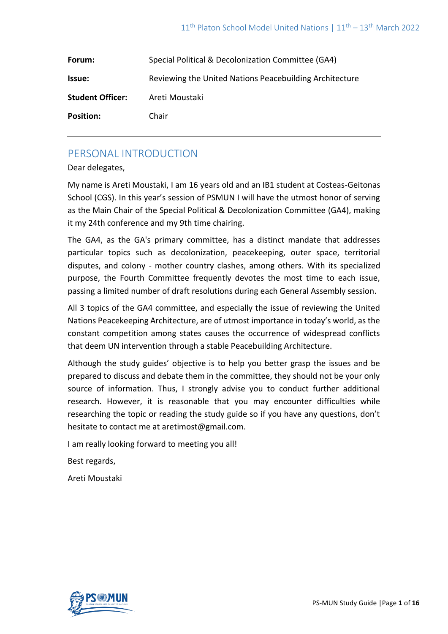| Forum:                  | Special Political & Decolonization Committee (GA4)      |
|-------------------------|---------------------------------------------------------|
| Issue:                  | Reviewing the United Nations Peacebuilding Architecture |
| <b>Student Officer:</b> | Areti Moustaki                                          |
| <b>Position:</b>        | Chair                                                   |

# PERSONAL INTRODUCTION

Dear delegates,

My name is Areti Moustaki, I am 16 years old and an IB1 student at Costeas-Geitonas School (CGS). In this year's session of PSMUN I will have the utmost honor of serving as the Main Chair of the Special Political & Decolonization Committee (GA4), making it my 24th conference and my 9th time chairing.

The GA4, as the GA's primary committee, has a distinct mandate that addresses particular topics such as decolonization, peacekeeping, outer space, territorial disputes, and colony - mother country clashes, among others. With its specialized purpose, the Fourth Committee frequently devotes the most time to each issue, passing a limited number of draft resolutions during each General Assembly session.

All 3 topics of the GA4 committee, and especially the issue of reviewing the United Nations Peacekeeping Architecture, are of utmost importance in today's world, as the constant competition among states causes the occurrence of widespread conflicts that deem UN intervention through a stable Peacebuilding Architecture.

Although the study guides' objective is to help you better grasp the issues and be prepared to discuss and debate them in the committee, they should not be your only source of information. Thus, I strongly advise you to conduct further additional research. However, it is reasonable that you may encounter difficulties while researching the topic or reading the study guide so if you have any questions, don't hesitate to contact me at aretimost@gmail.com.

I am really looking forward to meeting you all!

Best regards,

Areti Moustaki

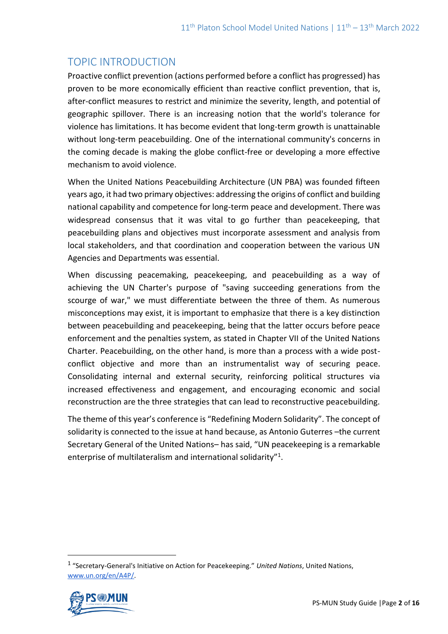# TOPIC INTRODUCTION

Proactive conflict prevention (actions performed before a conflict has progressed) has proven to be more economically efficient than reactive conflict prevention, that is, after-conflict measures to restrict and minimize the severity, length, and potential of geographic spillover. There is an increasing notion that the world's tolerance for violence has limitations. It has become evident that long-term growth is unattainable without long-term peacebuilding. One of the international community's concerns in the coming decade is making the globe conflict-free or developing a more effective mechanism to avoid violence.

When the United Nations Peacebuilding Architecture (UN PBA) was founded fifteen years ago, it had two primary objectives: addressing the origins of conflict and building national capability and competence for long-term peace and development. There was widespread consensus that it was vital to go further than peacekeeping, that peacebuilding plans and objectives must incorporate assessment and analysis from local stakeholders, and that coordination and cooperation between the various UN Agencies and Departments was essential.

When discussing peacemaking, peacekeeping, and peacebuilding as a way of achieving the UN Charter's purpose of "saving succeeding generations from the scourge of war," we must differentiate between the three of them. As numerous misconceptions may exist, it is important to emphasize that there is a key distinction between peacebuilding and peacekeeping, being that the latter occurs before peace enforcement and the penalties system, as stated in Chapter VII of the United Nations Charter. Peacebuilding, on the other hand, is more than a process with a wide postconflict objective and more than an instrumentalist way of securing peace. Consolidating internal and external security, reinforcing political structures via increased effectiveness and engagement, and encouraging economic and social reconstruction are the three strategies that can lead to reconstructive peacebuilding.

The theme of this year's conference is "Redefining Modern Solidarity". The concept of solidarity is connected to the issue at hand because, as Antonio Guterres –the current Secretary General of the United Nations– has said, "UN peacekeeping is a remarkable enterprise of multilateralism and international solidarity"<sup>1</sup>.

<sup>1</sup> "Secretary-General's Initiative on Action for Peacekeeping." *United Nations*, United Nations, [www.un.org/en/A4P/.](http://www.un.org/en/A4P/) 

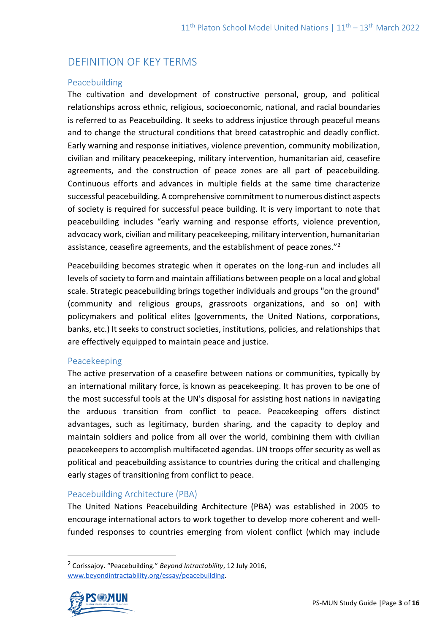# DEFINITION OF KEY TERMS

#### Peacebuilding

The cultivation and development of constructive personal, group, and political relationships across ethnic, religious, socioeconomic, national, and racial boundaries is referred to as Peacebuilding. It seeks to address injustice through peaceful means and to change the structural conditions that breed catastrophic and deadly conflict. Early warning and response initiatives, violence prevention, community mobilization, civilian and military peacekeeping, military intervention, humanitarian aid, ceasefire agreements, and the construction of peace zones are all part of peacebuilding. Continuous efforts and advances in multiple fields at the same time characterize successful peacebuilding. A comprehensive commitment to numerous distinct aspects of society is required for successful peace building. It is very important to note that peacebuilding includes "early warning and response efforts, violence prevention, advocacy work, civilian and military peacekeeping, military intervention, humanitarian assistance, ceasefire agreements, and the establishment of peace zones."<sup>2</sup>

Peacebuilding becomes strategic when it operates on the long-run and includes all levels of society to form and maintain affiliations between people on a local and global scale. Strategic peacebuilding brings together individuals and groups "on the ground" (community and religious groups, grassroots organizations, and so on) with policymakers and political elites (governments, the United Nations, corporations, banks, etc.) It seeks to construct societies, institutions, policies, and relationships that are effectively equipped to maintain peace and justice.

#### Peacekeeping

The active preservation of a ceasefire between nations or communities, typically by an international military force, is known as peacekeeping. It has proven to be one of the most successful tools at the UN's disposal for assisting host nations in navigating the arduous transition from conflict to peace. Peacekeeping offers distinct advantages, such as legitimacy, burden sharing, and the capacity to deploy and maintain soldiers and police from all over the world, combining them with civilian peacekeepers to accomplish multifaceted agendas. UN troops offer security as well as political and peacebuilding assistance to countries during the critical and challenging early stages of transitioning from conflict to peace.

## Peacebuilding Architecture (PBA)

The United Nations Peacebuilding Architecture (PBA) was established in 2005 to encourage international actors to work together to develop more coherent and wellfunded responses to countries emerging from violent conflict (which may include

<sup>2</sup> Corissajoy. "Peacebuilding." *Beyond Intractability*, 12 July 2016, [www.beyondintractability.org/essay/peacebuilding.](http://www.beyondintractability.org/essay/peacebuilding)

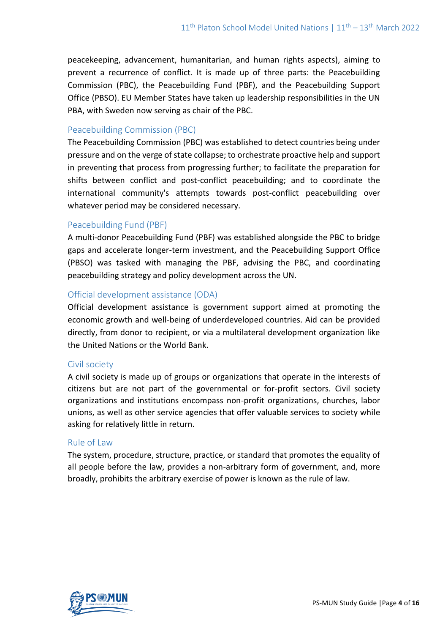peacekeeping, advancement, humanitarian, and human rights aspects), aiming to prevent a recurrence of conflict. It is made up of three parts: the Peacebuilding Commission (PBC), the Peacebuilding Fund (PBF), and the Peacebuilding Support Office (PBSO). EU Member States have taken up leadership responsibilities in the UN PBA, with Sweden now serving as chair of the PBC.

### Peacebuilding Commission (PBC)

The Peacebuilding Commission (PBC) was established to detect countries being under pressure and on the verge of state collapse; to orchestrate proactive help and support in preventing that process from progressing further; to facilitate the preparation for shifts between conflict and post-conflict peacebuilding; and to coordinate the international community's attempts towards post-conflict peacebuilding over whatever period may be considered necessary.

#### Peacebuilding Fund (PBF)

A multi-donor Peacebuilding Fund (PBF) was established alongside the PBC to bridge gaps and accelerate longer-term investment, and the Peacebuilding Support Office (PBSO) was tasked with managing the PBF, advising the PBC, and coordinating peacebuilding strategy and policy development across the UN.

#### Official development assistance (ODA)

Official development assistance is government support aimed at promoting the economic growth and well-being of underdeveloped countries. Aid can be provided directly, from donor to recipient, or via a multilateral development organization like the United Nations or the World Bank.

#### Civil society

A civil society is made up of groups or organizations that operate in the interests of citizens but are not part of the governmental or for-profit sectors. Civil society organizations and institutions encompass non-profit organizations, churches, labor unions, as well as other service agencies that offer valuable services to society while asking for relatively little in return.

#### Rule of Law

The system, procedure, structure, practice, or standard that promotes the equality of all people before the law, provides a non-arbitrary form of government, and, more broadly, prohibits the arbitrary exercise of power is known as the rule of law.

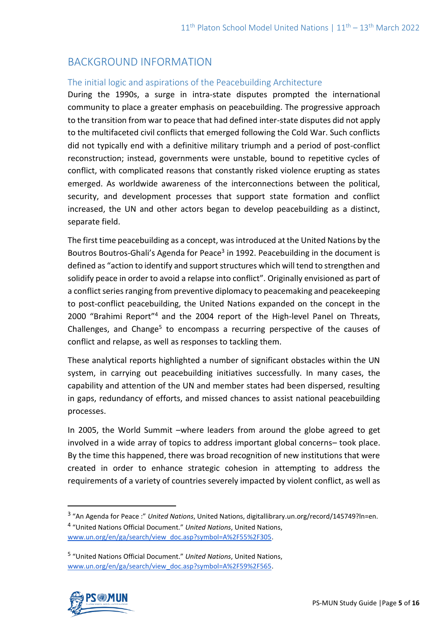# BACKGROUND INFORMATION

## The initial logic and aspirations of the Peacebuilding Architecture

During the 1990s, a surge in intra-state disputes prompted the international community to place a greater emphasis on peacebuilding. The progressive approach to the transition from war to peace that had defined inter-state disputes did not apply to the multifaceted civil conflicts that emerged following the Cold War. Such conflicts did not typically end with a definitive military triumph and a period of post-conflict reconstruction; instead, governments were unstable, bound to repetitive cycles of conflict, with complicated reasons that constantly risked violence erupting as states emerged. As worldwide awareness of the interconnections between the political, security, and development processes that support state formation and conflict increased, the UN and other actors began to develop peacebuilding as a distinct, separate field.

The first time peacebuilding as a concept, was introduced at the United Nations by the Boutros Boutros-Ghali's Agenda for Peace<sup>3</sup> in 1992. Peacebuilding in the document is defined as "action to identify and support structures which will tend to strengthen and solidify peace in order to avoid a relapse into conflict". Originally envisioned as part of a conflict series ranging from preventive diplomacy to peacemaking and peacekeeping to post-conflict peacebuilding, the United Nations expanded on the concept in the 2000 "Brahimi Report"<sup>4</sup> and the 2004 report of the High-level Panel on Threats, Challenges, and Change<sup>5</sup> to encompass a recurring perspective of the causes of conflict and relapse, as well as responses to tackling them.

These analytical reports highlighted a number of significant obstacles within the UN system, in carrying out peacebuilding initiatives successfully. In many cases, the capability and attention of the UN and member states had been dispersed, resulting in gaps, redundancy of efforts, and missed chances to assist national peacebuilding processes.

In 2005, the World Summit –where leaders from around the globe agreed to get involved in a wide array of topics to address important global concerns– took place. By the time this happened, there was broad recognition of new institutions that were created in order to enhance strategic cohesion in attempting to address the requirements of a variety of countries severely impacted by violent conflict, as well as

<sup>5</sup> "United Nations Official Document." *United Nations*, United Nations, [www.un.org/en/ga/search/view\\_doc.asp?symbol=A%2F59%2F565.](http://www.un.org/en/ga/search/view_doc.asp?symbol=A%2F59%2F565)



<sup>3</sup> "An Agenda for Peace :" *United Nations*, United Nations, digitallibrary.un.org/record/145749?ln=en. 4 "United Nations Official Document." *United Nations*, United Nations,

[www.un.org/en/ga/search/view\\_doc.asp?symbol=A%2F55%2F305.](http://www.un.org/en/ga/search/view_doc.asp?symbol=A%2F55%2F305)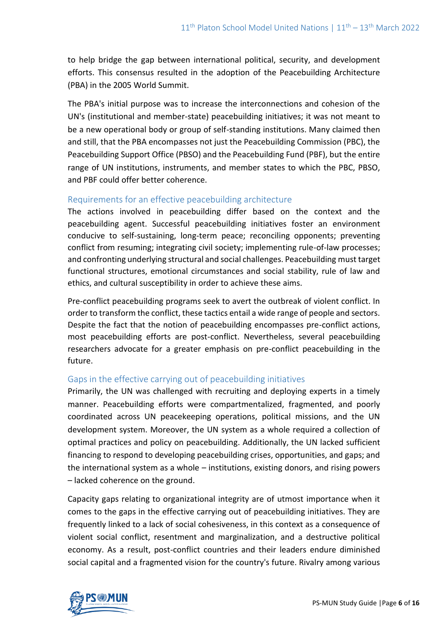to help bridge the gap between international political, security, and development efforts. This consensus resulted in the adoption of the Peacebuilding Architecture (PBA) in the 2005 World Summit.

The PBA's initial purpose was to increase the interconnections and cohesion of the UN's (institutional and member-state) peacebuilding initiatives; it was not meant to be a new operational body or group of self-standing institutions. Many claimed then and still, that the PBA encompasses not just the Peacebuilding Commission (PBC), the Peacebuilding Support Office (PBSO) and the Peacebuilding Fund (PBF), but the entire range of UN institutions, instruments, and member states to which the PBC, PBSO, and PBF could offer better coherence.

## Requirements for an effective peacebuilding architecture

The actions involved in peacebuilding differ based on the context and the peacebuilding agent. Successful peacebuilding initiatives foster an environment conducive to self-sustaining, long-term peace; reconciling opponents; preventing conflict from resuming; integrating civil society; implementing rule-of-law processes; and confronting underlying structural and social challenges. Peacebuilding must target functional structures, emotional circumstances and social stability, rule of law and ethics, and cultural susceptibility in order to achieve these aims.

Pre-conflict peacebuilding programs seek to avert the outbreak of violent conflict. In order to transform the conflict, these tactics entail a wide range of people and sectors. Despite the fact that the notion of peacebuilding encompasses pre-conflict actions, most peacebuilding efforts are post-conflict. Nevertheless, several peacebuilding researchers advocate for a greater emphasis on pre-conflict peacebuilding in the future.

## Gaps in the effective carrying out of peacebuilding initiatives

Primarily, the UN was challenged with recruiting and deploying experts in a timely manner. Peacebuilding efforts were compartmentalized, fragmented, and poorly coordinated across UN peacekeeping operations, political missions, and the UN development system. Moreover, the UN system as a whole required a collection of optimal practices and policy on peacebuilding. Additionally, the UN lacked sufficient financing to respond to developing peacebuilding crises, opportunities, and gaps; and the international system as a whole – institutions, existing donors, and rising powers – lacked coherence on the ground.

Capacity gaps relating to organizational integrity are of utmost importance when it comes to the gaps in the effective carrying out of peacebuilding initiatives. They are frequently linked to a lack of social cohesiveness, in this context as a consequence of violent social conflict, resentment and marginalization, and a destructive political economy. As a result, post-conflict countries and their leaders endure diminished social capital and a fragmented vision for the country's future. Rivalry among various

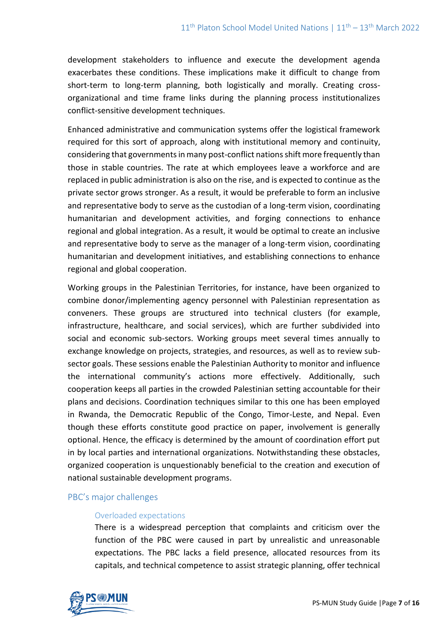development stakeholders to influence and execute the development agenda exacerbates these conditions. These implications make it difficult to change from short-term to long-term planning, both logistically and morally. Creating crossorganizational and time frame links during the planning process institutionalizes conflict-sensitive development techniques.

Enhanced administrative and communication systems offer the logistical framework required for this sort of approach, along with institutional memory and continuity, considering that governments in many post-conflict nations shift more frequently than those in stable countries. The rate at which employees leave a workforce and are replaced in public administration is also on the rise, and is expected to continue as the private sector grows stronger. As a result, it would be preferable to form an inclusive and representative body to serve as the custodian of a long-term vision, coordinating humanitarian and development activities, and forging connections to enhance regional and global integration. As a result, it would be optimal to create an inclusive and representative body to serve as the manager of a long-term vision, coordinating humanitarian and development initiatives, and establishing connections to enhance regional and global cooperation.

Working groups in the Palestinian Territories, for instance, have been organized to combine donor/implementing agency personnel with Palestinian representation as conveners. These groups are structured into technical clusters (for example, infrastructure, healthcare, and social services), which are further subdivided into social and economic sub-sectors. Working groups meet several times annually to exchange knowledge on projects, strategies, and resources, as well as to review subsector goals. These sessions enable the Palestinian Authority to monitor and influence the international community's actions more effectively. Additionally, such cooperation keeps all parties in the crowded Palestinian setting accountable for their plans and decisions. Coordination techniques similar to this one has been employed in Rwanda, the Democratic Republic of the Congo, Timor-Leste, and Nepal. Even though these efforts constitute good practice on paper, involvement is generally optional. Hence, the efficacy is determined by the amount of coordination effort put in by local parties and international organizations. Notwithstanding these obstacles, organized cooperation is unquestionably beneficial to the creation and execution of national sustainable development programs.

#### PBC's major challenges

#### Overloaded expectations

There is a widespread perception that complaints and criticism over the function of the PBC were caused in part by unrealistic and unreasonable expectations. The PBC lacks a field presence, allocated resources from its capitals, and technical competence to assist strategic planning, offer technical

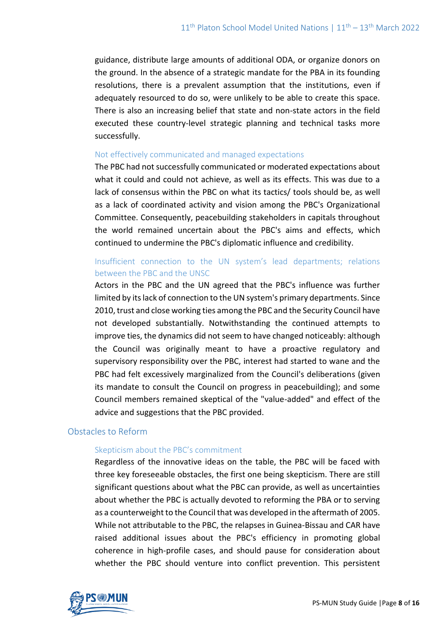guidance, distribute large amounts of additional ODA, or organize donors on the ground. In the absence of a strategic mandate for the PBA in its founding resolutions, there is a prevalent assumption that the institutions, even if adequately resourced to do so, were unlikely to be able to create this space. There is also an increasing belief that state and non-state actors in the field executed these country-level strategic planning and technical tasks more successfully.

#### Not effectively communicated and managed expectations

The PBC had not successfully communicated or moderated expectations about what it could and could not achieve, as well as its effects. This was due to a lack of consensus within the PBC on what its tactics/ tools should be, as well as a lack of coordinated activity and vision among the PBC's Organizational Committee. Consequently, peacebuilding stakeholders in capitals throughout the world remained uncertain about the PBC's aims and effects, which continued to undermine the PBC's diplomatic influence and credibility.

# Insufficient connection to the UN system's lead departments; relations between the PBC and the UNSC

Actors in the PBC and the UN agreed that the PBC's influence was further limited by its lack of connection to the UN system's primary departments. Since 2010, trust and close working ties among the PBC and the Security Council have not developed substantially. Notwithstanding the continued attempts to improve ties, the dynamics did not seem to have changed noticeably: although the Council was originally meant to have a proactive regulatory and supervisory responsibility over the PBC, interest had started to wane and the PBC had felt excessively marginalized from the Council's deliberations (given its mandate to consult the Council on progress in peacebuilding); and some Council members remained skeptical of the "value-added" and effect of the advice and suggestions that the PBC provided.

## Obstacles to Reform

#### Skepticism about the PBC's commitment

Regardless of the innovative ideas on the table, the PBC will be faced with three key foreseeable obstacles, the first one being skepticism. There are still significant questions about what the PBC can provide, as well as uncertainties about whether the PBC is actually devoted to reforming the PBA or to serving as a counterweight to the Council that was developed in the aftermath of 2005. While not attributable to the PBC, the relapses in Guinea-Bissau and CAR have raised additional issues about the PBC's efficiency in promoting global coherence in high-profile cases, and should pause for consideration about whether the PBC should venture into conflict prevention. This persistent

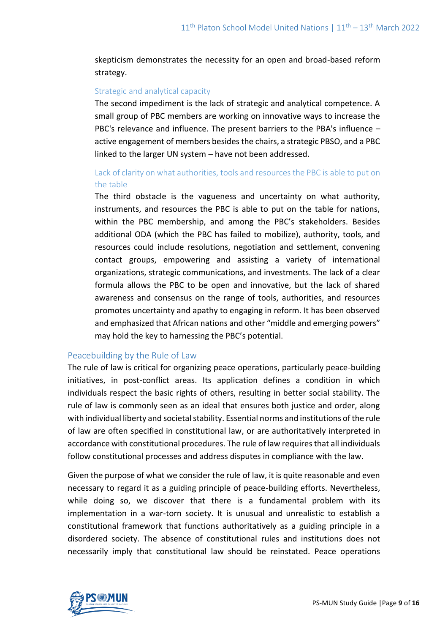skepticism demonstrates the necessity for an open and broad-based reform strategy.

#### Strategic and analytical capacity

The second impediment is the lack of strategic and analytical competence. A small group of PBC members are working on innovative ways to increase the PBC's relevance and influence. The present barriers to the PBA's influence – active engagement of members besides the chairs, a strategic PBSO, and a PBC linked to the larger UN system – have not been addressed.

# Lack of clarity on what authorities, tools and resources the PBC is able to put on the table

The third obstacle is the vagueness and uncertainty on what authority, instruments, and resources the PBC is able to put on the table for nations, within the PBC membership, and among the PBC's stakeholders. Besides additional ODA (which the PBC has failed to mobilize), authority, tools, and resources could include resolutions, negotiation and settlement, convening contact groups, empowering and assisting a variety of international organizations, strategic communications, and investments. The lack of a clear formula allows the PBC to be open and innovative, but the lack of shared awareness and consensus on the range of tools, authorities, and resources promotes uncertainty and apathy to engaging in reform. It has been observed and emphasized that African nations and other "middle and emerging powers" may hold the key to harnessing the PBC's potential.

## Peacebuilding by the Rule of Law

The rule of law is critical for organizing peace operations, particularly peace-building initiatives, in post-conflict areas. Its application defines a condition in which individuals respect the basic rights of others, resulting in better social stability. The rule of law is commonly seen as an ideal that ensures both justice and order, along with individual liberty and societal stability. Essential norms and institutions of the rule of law are often specified in constitutional law, or are authoritatively interpreted in accordance with constitutional procedures. The rule of law requires that all individuals follow constitutional processes and address disputes in compliance with the law.

Given the purpose of what we consider the rule of law, it is quite reasonable and even necessary to regard it as a guiding principle of peace-building efforts. Nevertheless, while doing so, we discover that there is a fundamental problem with its implementation in a war-torn society. It is unusual and unrealistic to establish a constitutional framework that functions authoritatively as a guiding principle in a disordered society. The absence of constitutional rules and institutions does not necessarily imply that constitutional law should be reinstated. Peace operations

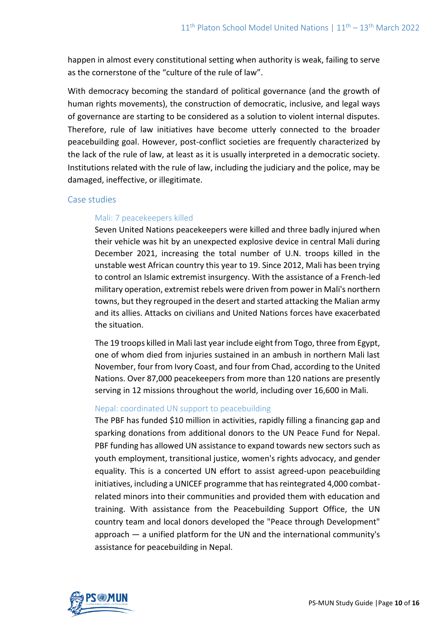happen in almost every constitutional setting when authority is weak, failing to serve as the cornerstone of the "culture of the rule of law".

With democracy becoming the standard of political governance (and the growth of human rights movements), the construction of democratic, inclusive, and legal ways of governance are starting to be considered as a solution to violent internal disputes. Therefore, rule of law initiatives have become utterly connected to the broader peacebuilding goal. However, post-conflict societies are frequently characterized by the lack of the rule of law, at least as it is usually interpreted in a democratic society. Institutions related with the rule of law, including the judiciary and the police, may be damaged, ineffective, or illegitimate.

#### Case studies

#### Mali: 7 peacekeepers killed

Seven United Nations peacekeepers were killed and three badly injured when their vehicle was hit by an unexpected explosive device in central Mali during December 2021, increasing the total number of U.N. troops killed in the unstable west African country this year to 19. Since 2012, Mali has been trying to control an Islamic extremist insurgency. With the assistance of a French-led military operation, extremist rebels were driven from power in Mali's northern towns, but they regrouped in the desert and started attacking the Malian army and its allies. Attacks on civilians and United Nations forces have exacerbated the situation.

The 19 troops killed in Mali last year include eight from Togo, three from Egypt, one of whom died from injuries sustained in an ambush in northern Mali last November, four from Ivory Coast, and four from Chad, according to the United Nations. Over 87,000 peacekeepers from more than 120 nations are presently serving in 12 missions throughout the world, including over 16,600 in Mali.

#### Nepal: coordinated UN support to peacebuilding

The PBF has funded \$10 million in activities, rapidly filling a financing gap and sparking donations from additional donors to the UN Peace Fund for Nepal. PBF funding has allowed UN assistance to expand towards new sectors such as youth employment, transitional justice, women's rights advocacy, and gender equality. This is a concerted UN effort to assist agreed-upon peacebuilding initiatives, including a UNICEF programme that has reintegrated 4,000 combatrelated minors into their communities and provided them with education and training. With assistance from the Peacebuilding Support Office, the UN country team and local donors developed the "Peace through Development" approach — a unified platform for the UN and the international community's assistance for peacebuilding in Nepal.

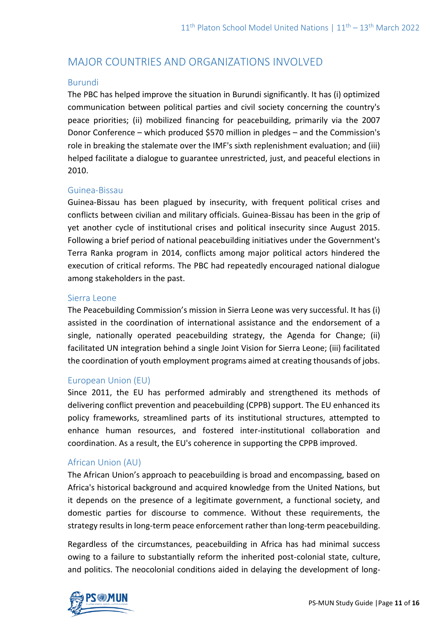# MAJOR COUNTRIES AND ORGANIZATIONS INVOLVED

#### Burundi

The PBC has helped improve the situation in Burundi significantly. It has (i) optimized communication between political parties and civil society concerning the country's peace priorities; (ii) mobilized financing for peacebuilding, primarily via the 2007 Donor Conference – which produced \$570 million in pledges – and the Commission's role in breaking the stalemate over the IMF's sixth replenishment evaluation; and (iii) helped facilitate a dialogue to guarantee unrestricted, just, and peaceful elections in 2010.

#### Guinea-Bissau

Guinea-Bissau has been plagued by insecurity, with frequent political crises and conflicts between civilian and military officials. Guinea-Bissau has been in the grip of yet another cycle of institutional crises and political insecurity since August 2015. Following a brief period of national peacebuilding initiatives under the Government's Terra Ranka program in 2014, conflicts among major political actors hindered the execution of critical reforms. The PBC had repeatedly encouraged national dialogue among stakeholders in the past.

#### Sierra Leone

The Peacebuilding Commission's mission in Sierra Leone was very successful. It has (i) assisted in the coordination of international assistance and the endorsement of a single, nationally operated peacebuilding strategy, the Agenda for Change; (ii) facilitated UN integration behind a single Joint Vision for Sierra Leone; (iii) facilitated the coordination of youth employment programs aimed at creating thousands of jobs.

## European Union (EU)

Since 2011, the EU has performed admirably and strengthened its methods of delivering conflict prevention and peacebuilding (CPPB) support. The EU enhanced its policy frameworks, streamlined parts of its institutional structures, attempted to enhance human resources, and fostered inter-institutional collaboration and coordination. As a result, the EU's coherence in supporting the CPPB improved.

## African Union (AU)

The African Union's approach to peacebuilding is broad and encompassing, based on Africa's historical background and acquired knowledge from the United Nations, but it depends on the presence of a legitimate government, a functional society, and domestic parties for discourse to commence. Without these requirements, the strategy results in long-term peace enforcement rather than long-term peacebuilding.

Regardless of the circumstances, peacebuilding in Africa has had minimal success owing to a failure to substantially reform the inherited post-colonial state, culture, and politics. The neocolonial conditions aided in delaying the development of long-

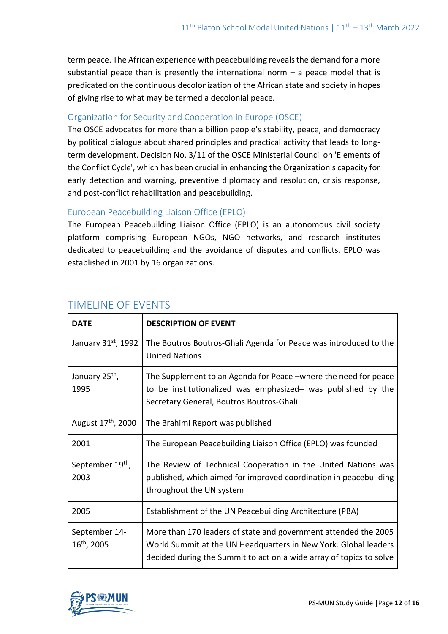term peace. The African experience with peacebuilding reveals the demand for a more substantial peace than is presently the international norm  $-$  a peace model that is predicated on the continuous decolonization of the African state and society in hopes of giving rise to what may be termed a decolonial peace.

# Organization for Security and Cooperation in Europe (OSCE)

The OSCE advocates for more than a billion people's stability, peace, and democracy by political dialogue about shared principles and practical activity that leads to longterm development. Decision No. 3/11 of the OSCE Ministerial Council on 'Elements of the Conflict Cycle', which has been crucial in enhancing the Organization's capacity for early detection and warning, preventive diplomacy and resolution, crisis response, and post-conflict rehabilitation and peacebuilding.

# European Peacebuilding Liaison Office (EPLO)

The European Peacebuilding Liaison Office (EPLO) is an autonomous civil society platform comprising European NGOs, NGO networks, and research institutes dedicated to peacebuilding and the avoidance of disputes and conflicts. EPLO was established in 2001 by 16 organizations.

| <b>DATE</b>                              | <b>DESCRIPTION OF EVENT</b>                                                                                                                                                                               |
|------------------------------------------|-----------------------------------------------------------------------------------------------------------------------------------------------------------------------------------------------------------|
| January 31st, 1992                       | The Boutros Boutros-Ghali Agenda for Peace was introduced to the<br><b>United Nations</b>                                                                                                                 |
| January 25 <sup>th</sup> ,<br>1995       | The Supplement to an Agenda for Peace –where the need for peace<br>to be institutionalized was emphasized- was published by the<br>Secretary General, Boutros Boutros-Ghali                               |
| August 17 <sup>th</sup> , 2000           | The Brahimi Report was published                                                                                                                                                                          |
| 2001                                     | The European Peacebuilding Liaison Office (EPLO) was founded                                                                                                                                              |
| September 19 <sup>th</sup> ,<br>2003     | The Review of Technical Cooperation in the United Nations was<br>published, which aimed for improved coordination in peacebuilding<br>throughout the UN system                                            |
| 2005                                     | Establishment of the UN Peacebuilding Architecture (PBA)                                                                                                                                                  |
| September 14-<br>16 <sup>th</sup> , 2005 | More than 170 leaders of state and government attended the 2005<br>World Summit at the UN Headquarters in New York. Global leaders<br>decided during the Summit to act on a wide array of topics to solve |

# TIMELINE OF EVENTS

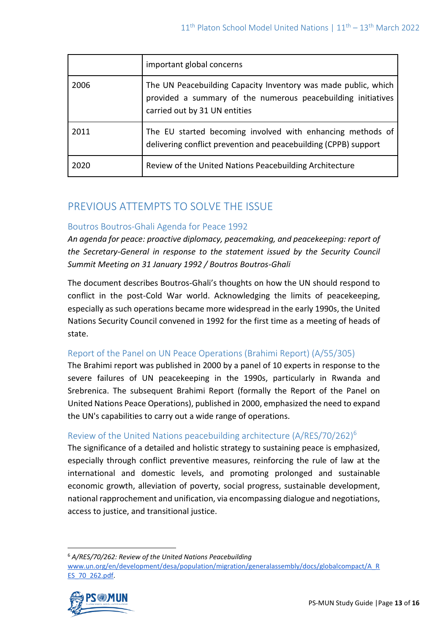|      | important global concerns                                                                                                                                       |
|------|-----------------------------------------------------------------------------------------------------------------------------------------------------------------|
| 2006 | The UN Peacebuilding Capacity Inventory was made public, which<br>provided a summary of the numerous peacebuilding initiatives<br>carried out by 31 UN entities |
| 2011 | The EU started becoming involved with enhancing methods of<br>delivering conflict prevention and peacebuilding (CPPB) support                                   |
| 2020 | Review of the United Nations Peacebuilding Architecture                                                                                                         |

# PREVIOUS ATTEMPTS TO SOLVE THE ISSUE

# Boutros Boutros-Ghali Agenda for Peace 1992

*An agenda for peace: proactive diplomacy, peacemaking, and peacekeeping: report of the Secretary-General in response to the statement issued by the Security Council Summit Meeting on 31 January 1992 / Boutros Boutros-Ghali* 

The document describes Boutros-Ghali's thoughts on how the UN should respond to conflict in the post-Cold War world. Acknowledging the limits of peacekeeping, especially as such operations became more widespread in the early 1990s, the United Nations Security Council convened in 1992 for the first time as a meeting of heads of state.

# Report of the Panel on UN Peace Operations (Brahimi Report) (A/55/305)

The Brahimi report was published in 2000 by a panel of 10 experts in response to the severe failures of UN peacekeeping in the 1990s, particularly in Rwanda and Srebrenica. The subsequent Brahimi Report (formally the Report of the Panel on United Nations Peace Operations), published in 2000, emphasized the need to expand the UN's capabilities to carry out a wide range of operations.

# Review of the United Nations peacebuilding architecture (A/RES/70/262)<sup>6</sup>

The significance of a detailed and holistic strategy to sustaining peace is emphasized, especially through conflict preventive measures, reinforcing the rule of law at the international and domestic levels, and promoting prolonged and sustainable economic growth, alleviation of poverty, social progress, sustainable development, national rapprochement and unification, via encompassing dialogue and negotiations, access to justice, and transitional justice.

<sup>6</sup> *A/RES/70/262: Review of the United Nations Peacebuilding*  [www.un.org/en/development/desa/population/migration/generalassembly/docs/globalcompact/A\\_R](http://...www.un.org/en/development/desa/population/migration/generalassembly/docs/globalcompact/A_RES_70_262.pdf) [ES\\_70\\_262.pdf.](http://...www.un.org/en/development/desa/population/migration/generalassembly/docs/globalcompact/A_RES_70_262.pdf)

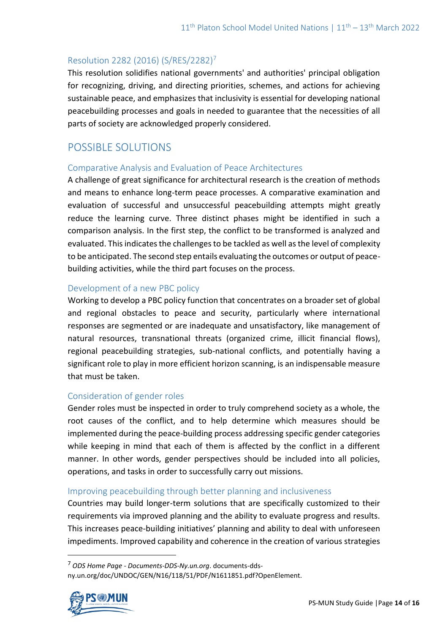## Resolution 2282 (2016) (S/RES/2282)<sup>7</sup>

This resolution solidifies national governments' and authorities' principal obligation for recognizing, driving, and directing priorities, schemes, and actions for achieving sustainable peace, and emphasizes that inclusivity is essential for developing national peacebuilding processes and goals in needed to guarantee that the necessities of all parts of society are acknowledged properly considered.

# POSSIBLE SOLUTIONS

## Comparative Analysis and Evaluation of Peace Architectures

A challenge of great significance for architectural research is the creation of methods and means to enhance long-term peace processes. A comparative examination and evaluation of successful and unsuccessful peacebuilding attempts might greatly reduce the learning curve. Three distinct phases might be identified in such a comparison analysis. In the first step, the conflict to be transformed is analyzed and evaluated. This indicates the challenges to be tackled as well as the level of complexity to be anticipated. The second step entails evaluating the outcomes or output of peacebuilding activities, while the third part focuses on the process.

## Development of a new PBC policy

Working to develop a PBC policy function that concentrates on a broader set of global and regional obstacles to peace and security, particularly where international responses are segmented or are inadequate and unsatisfactory, like management of natural resources, transnational threats (organized crime, illicit financial flows), regional peacebuilding strategies, sub-national conflicts, and potentially having a significant role to play in more efficient horizon scanning, is an indispensable measure that must be taken.

## Consideration of gender roles

Gender roles must be inspected in order to truly comprehend society as a whole, the root causes of the conflict, and to help determine which measures should be implemented during the peace-building process addressing specific gender categories while keeping in mind that each of them is affected by the conflict in a different manner. In other words, gender perspectives should be included into all policies, operations, and tasks in order to successfully carry out missions.

## Improving peacebuilding through better planning and inclusiveness

Countries may build longer-term solutions that are specifically customized to their requirements via improved planning and the ability to evaluate progress and results. This increases peace-building initiatives' planning and ability to deal with unforeseen impediments. Improved capability and coherence in the creation of various strategies

<sup>7</sup> *ODS Home Page - Documents-DDS-Ny.un.org*. documents-ddsny.un.org/doc/UNDOC/GEN/N16/118/51/PDF/N1611851.pdf?OpenElement.

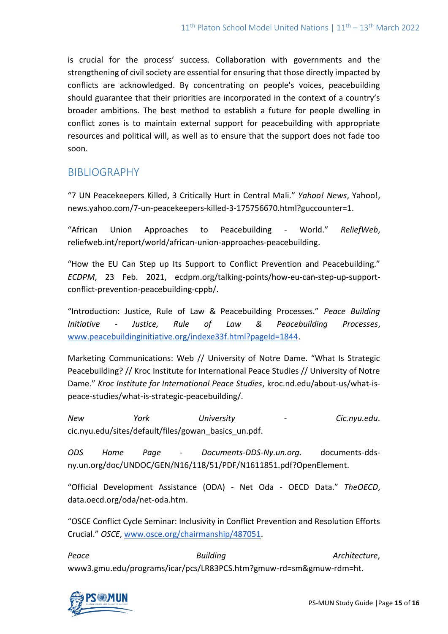is crucial for the process' success. Collaboration with governments and the strengthening of civil society are essential for ensuring that those directly impacted by conflicts are acknowledged. By concentrating on people's voices, peacebuilding should guarantee that their priorities are incorporated in the context of a country's broader ambitions. The best method to establish a future for people dwelling in conflict zones is to maintain external support for peacebuilding with appropriate resources and political will, as well as to ensure that the support does not fade too soon.

# BIBLIOGRAPHY

"7 UN Peacekeepers Killed, 3 Critically Hurt in Central Mali." *Yahoo! News*, Yahoo!, news.yahoo.com/7-un-peacekeepers-killed-3-175756670.html?guccounter=1.

"African Union Approaches to Peacebuilding - World." *ReliefWeb*, reliefweb.int/report/world/african-union-approaches-peacebuilding.

"How the EU Can Step up Its Support to Conflict Prevention and Peacebuilding." *ECDPM*, 23 Feb. 2021, ecdpm.org/talking-points/how-eu-can-step-up-supportconflict-prevention-peacebuilding-cppb/.

"Introduction: Justice, Rule of Law & Peacebuilding Processes." *Peace Building Initiative - Justice, Rule of Law & Peacebuilding Processes*, [www.peacebuildinginitiative.org/indexe33f.html?pageId=1844.](http://www.peacebuildinginitiative.org/indexe33f.html?pageId=1844)

Marketing Communications: Web // University of Notre Dame. "What Is Strategic Peacebuilding? // Kroc Institute for International Peace Studies // University of Notre Dame." *Kroc Institute for International Peace Studies*, kroc.nd.edu/about-us/what-ispeace-studies/what-is-strategic-peacebuilding/.

*New York University - Cic.nyu.edu*. cic.nyu.edu/sites/default/files/gowan\_basics\_un.pdf.

*ODS Home Page - Documents-DDS-Ny.un.org*. documents-ddsny.un.org/doc/UNDOC/GEN/N16/118/51/PDF/N1611851.pdf?OpenElement.

"Official Development Assistance (ODA) - Net Oda - OECD Data." *TheOECD*, data.oecd.org/oda/net-oda.htm.

"OSCE Conflict Cycle Seminar: Inclusivity in Conflict Prevention and Resolution Efforts Crucial." *OSCE*, [www.osce.org/chairmanship/487051.](http://www.osce.org/chairmanship/487051)

**Peace Architecture**, **Building Architecture**, **Architecture**, www3.gmu.edu/programs/icar/pcs/LR83PCS.htm?gmuw-rd=sm&gmuw-rdm=ht.